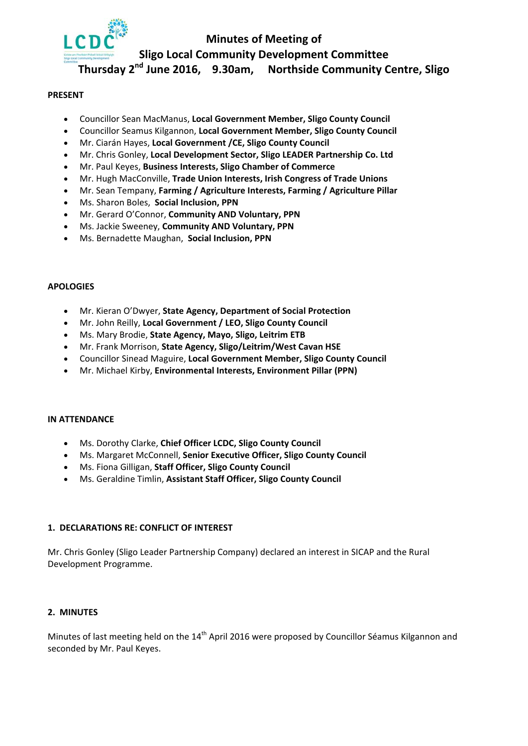

### **Minutes of Meeting of**

**Sligo Local Community Development Committee**

**Thursday 2nd June 2016, 9.30am, Northside Community Centre, Sligo**

#### **PRESENT**

- Councillor Sean MacManus, **Local Government Member, Sligo County Council**
- Councillor Seamus Kilgannon, **Local Government Member, Sligo County Council**
- Mr. Ciarán Hayes, **Local Government /CE, Sligo County Council**
- Mr. Chris Gonley, **Local Development Sector, Sligo LEADER Partnership Co. Ltd**
- Mr. Paul Keyes, **Business Interests, Sligo Chamber of Commerce**
- Mr. Hugh MacConville, **Trade Union Interests, Irish Congress of Trade Unions**
- Mr. Sean Tempany, **Farming / Agriculture Interests, Farming / Agriculture Pillar**
- Ms. Sharon Boles, **Social Inclusion, PPN**
- Mr. Gerard O'Connor, **Community AND Voluntary, PPN**
- Ms. Jackie Sweeney, **Community AND Voluntary, PPN**
- Ms. Bernadette Maughan, **Social Inclusion, PPN**

#### **APOLOGIES**

- Mr. Kieran O'Dwyer, **State Agency, Department of Social Protection**
- Mr. John Reilly, **Local Government / LEO, Sligo County Council**
- Ms. Mary Brodie, **State Agency, Mayo, Sligo, Leitrim ETB**
- Mr. Frank Morrison, **State Agency, Sligo/Leitrim/West Cavan HSE**
- Councillor Sinead Maguire, **Local Government Member, Sligo County Council**
- Mr. Michael Kirby, **Environmental Interests, Environment Pillar (PPN)**

#### **IN ATTENDANCE**

- Ms. Dorothy Clarke, **Chief Officer LCDC, Sligo County Council**
- Ms. Margaret McConnell, **Senior Executive Officer, Sligo County Council**
- Ms. Fiona Gilligan, **Staff Officer, Sligo County Council**
- Ms. Geraldine Timlin, **Assistant Staff Officer, Sligo County Council**

#### **1. DECLARATIONS RE: CONFLICT OF INTEREST**

Mr. Chris Gonley (Sligo Leader Partnership Company) declared an interest in SICAP and the Rural Development Programme.

#### **2. MINUTES**

Minutes of last meeting held on the 14<sup>th</sup> April 2016 were proposed by Councillor Séamus Kilgannon and seconded by Mr. Paul Keyes.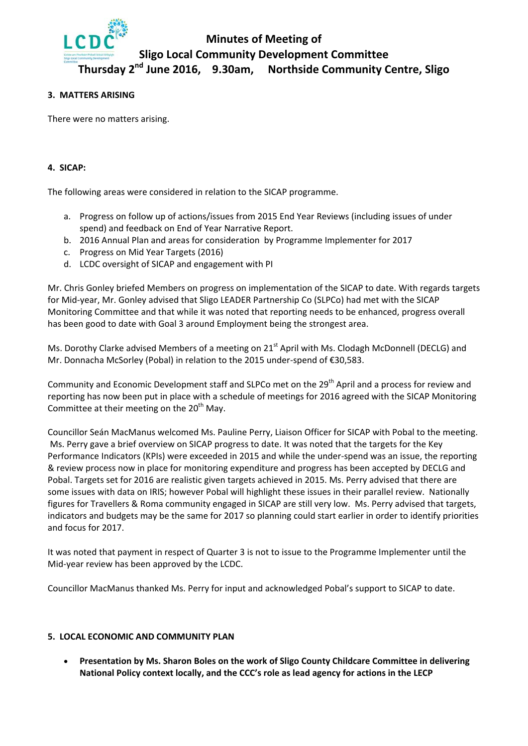

# **Minutes of Meeting of Sligo Local Community Development Committee**

## **Thursday 2nd June 2016, 9.30am, Northside Community Centre, Sligo**

#### **3. MATTERS ARISING**

There were no matters arising.

#### **4. SICAP:**

The following areas were considered in relation to the SICAP programme.

- a. Progress on follow up of actions/issues from 2015 End Year Reviews (including issues of under spend) and feedback on End of Year Narrative Report.
- b. 2016 Annual Plan and areas for consideration by Programme Implementer for 2017
- c. Progress on Mid Year Targets (2016)
- d. LCDC oversight of SICAP and engagement with PI

Mr. Chris Gonley briefed Members on progress on implementation of the SICAP to date. With regards targets for Mid‐year, Mr. Gonley advised that Sligo LEADER Partnership Co (SLPCo) had met with the SICAP Monitoring Committee and that while it was noted that reporting needs to be enhanced, progress overall has been good to date with Goal 3 around Employment being the strongest area.

Ms. Dorothy Clarke advised Members of a meeting on 21<sup>st</sup> April with Ms. Clodagh McDonnell (DECLG) and Mr. Donnacha McSorley (Pobal) in relation to the 2015 under‐spend of €30,583.

Community and Economic Development staff and SLPCo met on the 29<sup>th</sup> April and a process for review and reporting has now been put in place with a schedule of meetings for 2016 agreed with the SICAP Monitoring Committee at their meeting on the  $20<sup>th</sup>$  May.

Councillor Seán MacManus welcomed Ms. Pauline Perry, Liaison Officer for SICAP with Pobal to the meeting. Ms. Perry gave a brief overview on SICAP progress to date. It was noted that the targets for the Key Performance Indicators (KPIs) were exceeded in 2015 and while the under‐spend was an issue, the reporting & review process now in place for monitoring expenditure and progress has been accepted by DECLG and Pobal. Targets set for 2016 are realistic given targets achieved in 2015. Ms. Perry advised that there are some issues with data on IRIS; however Pobal will highlight these issues in their parallel review. Nationally figures for Travellers & Roma community engaged in SICAP are still very low. Ms. Perry advised that targets, indicators and budgets may be the same for 2017 so planning could start earlier in order to identify priorities and focus for 2017.

It was noted that payment in respect of Quarter 3 is not to issue to the Programme Implementer until the Mid‐year review has been approved by the LCDC.

Councillor MacManus thanked Ms. Perry for input and acknowledged Pobal's support to SICAP to date.

#### **5. LOCAL ECONOMIC AND COMMUNITY PLAN**

• **Presentation by Ms. Sharon Boles on the work of Sligo County Childcare Committee in delivering National Policy context locally, and the CCC's role as lead agency for actions in the LECP**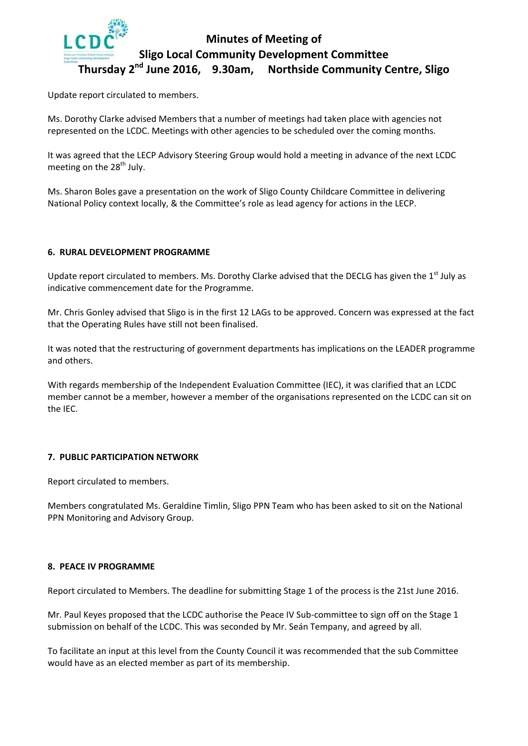

## **Minutes of Meeting of Sligo Local Community Development Committee Thursday 2nd June 2016, 9.30am, Northside Community Centre, Sligo**

Update report circulated to members.

Ms. Dorothy Clarke advised Members that a number of meetings had taken place with agencies not represented on the LCDC. Meetings with other agencies to be scheduled over the coming months.

It was agreed that the LECP Advisory Steering Group would hold a meeting in advance of the next LCDC meeting on the  $28<sup>th</sup>$  July.

Ms. Sharon Boles gave a presentation on the work of Sligo County Childcare Committee in delivering National Policy context locally, & the Committee's role as lead agency for actions in the LECP.

#### **6. RURAL DEVELOPMENT PROGRAMME**

Update report circulated to members. Ms. Dorothy Clarke advised that the DECLG has given the 1<sup>st</sup> July as indicative commencement date for the Programme.

Mr. Chris Gonley advised that Sligo is in the first 12 LAGs to be approved. Concern was expressed at the fact that the Operating Rules have still not been finalised.

It was noted that the restructuring of government departments has implications on the LEADER programme and others.

With regards membership of the Independent Evaluation Committee (IEC), it was clarified that an LCDC member cannot be a member, however a member of the organisations represented on the LCDC can sit on the IEC.

#### **7. PUBLIC PARTICIPATION NETWORK**

Report circulated to members.

Members congratulated Ms. Geraldine Timlin, Sligo PPN Team who has been asked to sit on the National PPN Monitoring and Advisory Group.

#### **8. PEACE IV PROGRAMME**

Report circulated to Members. The deadline for submitting Stage 1 of the process is the 21st June 2016.

Mr. Paul Keyes proposed that the LCDC authorise the Peace IV Sub-committee to sign off on the Stage 1 submission on behalf of the LCDC. This was seconded by Mr. Seán Tempany, and agreed by all.

To facilitate an input at this level from the County Council it was recommended that the sub Committee would have as an elected member as part of its membership.